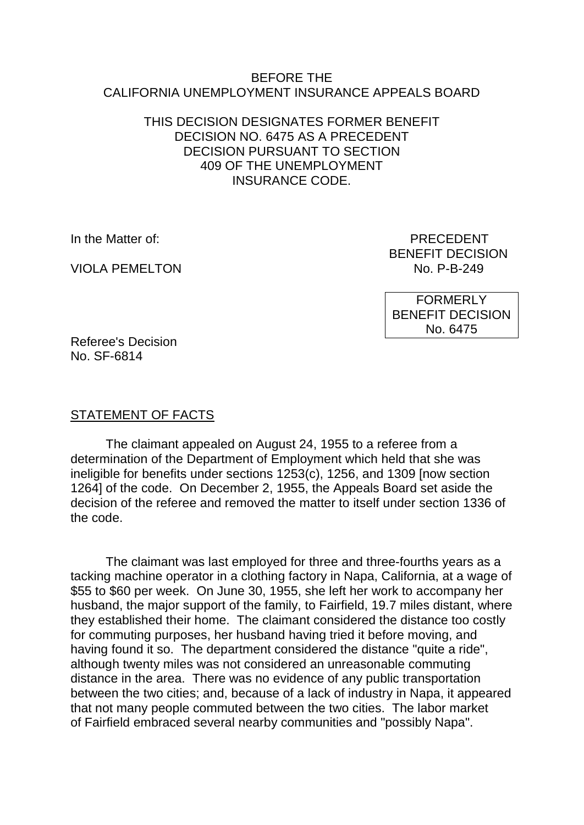#### BEFORE THE CALIFORNIA UNEMPLOYMENT INSURANCE APPEALS BOARD

### THIS DECISION DESIGNATES FORMER BENEFIT DECISION NO. 6475 AS A PRECEDENT DECISION PURSUANT TO SECTION 409 OF THE UNEMPLOYMENT INSURANCE CODE.

VIOLA PEMELTON NO. P-B-249

In the Matter of: PRECEDENT BENEFIT DECISION

> **FORMERLY** BENEFIT DECISION No. 6475

Referee's Decision No. SF-6814

### STATEMENT OF FACTS

The claimant appealed on August 24, 1955 to a referee from a determination of the Department of Employment which held that she was ineligible for benefits under sections 1253(c), 1256, and 1309 [now section 1264] of the code. On December 2, 1955, the Appeals Board set aside the decision of the referee and removed the matter to itself under section 1336 of the code.

The claimant was last employed for three and three-fourths years as a tacking machine operator in a clothing factory in Napa, California, at a wage of \$55 to \$60 per week. On June 30, 1955, she left her work to accompany her husband, the major support of the family, to Fairfield, 19.7 miles distant, where they established their home. The claimant considered the distance too costly for commuting purposes, her husband having tried it before moving, and having found it so. The department considered the distance "quite a ride", although twenty miles was not considered an unreasonable commuting distance in the area. There was no evidence of any public transportation between the two cities; and, because of a lack of industry in Napa, it appeared that not many people commuted between the two cities. The labor market of Fairfield embraced several nearby communities and "possibly Napa".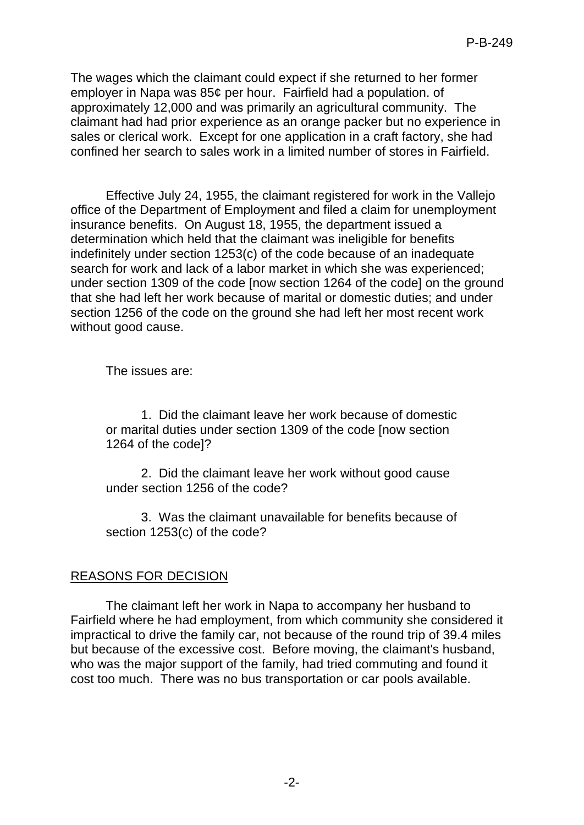The wages which the claimant could expect if she returned to her former employer in Napa was 85¢ per hour. Fairfield had a population. of approximately 12,000 and was primarily an agricultural community. The claimant had had prior experience as an orange packer but no experience in sales or clerical work. Except for one application in a craft factory, she had confined her search to sales work in a limited number of stores in Fairfield.

Effective July 24, 1955, the claimant registered for work in the Vallejo office of the Department of Employment and filed a claim for unemployment insurance benefits. On August 18, 1955, the department issued a determination which held that the claimant was ineligible for benefits indefinitely under section 1253(c) of the code because of an inadequate search for work and lack of a labor market in which she was experienced; under section 1309 of the code [now section 1264 of the code] on the ground that she had left her work because of marital or domestic duties; and under section 1256 of the code on the ground she had left her most recent work without good cause.

The issues are:

1. Did the claimant leave her work because of domestic or marital duties under section 1309 of the code [now section 1264 of the code]?

2. Did the claimant leave her work without good cause under section 1256 of the code?

3. Was the claimant unavailable for benefits because of section 1253(c) of the code?

## REASONS FOR DECISION

The claimant left her work in Napa to accompany her husband to Fairfield where he had employment, from which community she considered it impractical to drive the family car, not because of the round trip of 39.4 miles but because of the excessive cost. Before moving, the claimant's husband, who was the major support of the family, had tried commuting and found it cost too much. There was no bus transportation or car pools available.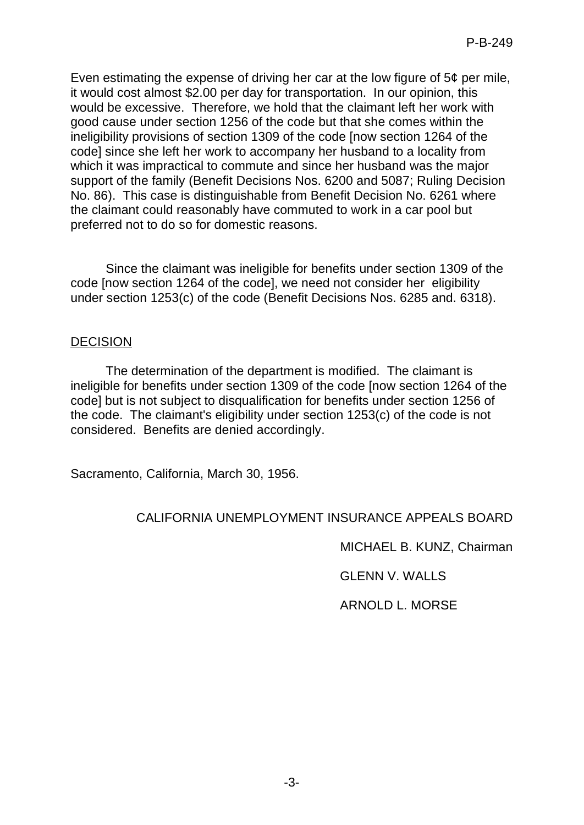Even estimating the expense of driving her car at the low figure of 5¢ per mile, it would cost almost \$2.00 per day for transportation. In our opinion, this would be excessive. Therefore, we hold that the claimant left her work with good cause under section 1256 of the code but that she comes within the ineligibility provisions of section 1309 of the code [now section 1264 of the code] since she left her work to accompany her husband to a locality from which it was impractical to commute and since her husband was the major support of the family (Benefit Decisions Nos. 6200 and 5087; Ruling Decision No. 86). This case is distinguishable from Benefit Decision No. 6261 where the claimant could reasonably have commuted to work in a car pool but preferred not to do so for domestic reasons.

Since the claimant was ineligible for benefits under section 1309 of the code [now section 1264 of the code], we need not consider her eligibility under section 1253(c) of the code (Benefit Decisions Nos. 6285 and. 6318).

### DECISION

The determination of the department is modified. The claimant is ineligible for benefits under section 1309 of the code [now section 1264 of the code] but is not subject to disqualification for benefits under section 1256 of the code. The claimant's eligibility under section 1253(c) of the code is not considered. Benefits are denied accordingly.

Sacramento, California, March 30, 1956.

### CALIFORNIA UNEMPLOYMENT INSURANCE APPEALS BOARD

MICHAEL B. KUNZ, Chairman

GLENN V. WALLS

ARNOLD L. MORSE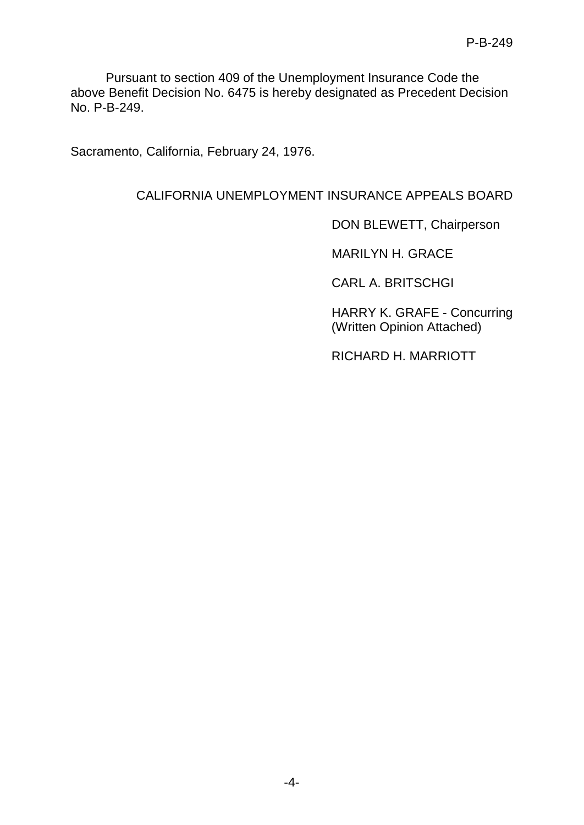Pursuant to section 409 of the Unemployment Insurance Code the above Benefit Decision No. 6475 is hereby designated as Precedent Decision No. P-B-249.

Sacramento, California, February 24, 1976.

# CALIFORNIA UNEMPLOYMENT INSURANCE APPEALS BOARD

DON BLEWETT, Chairperson

MARILYN H. GRACE

CARL A. BRITSCHGI

HARRY K. GRAFE - Concurring (Written Opinion Attached)

RICHARD H. MARRIOTT